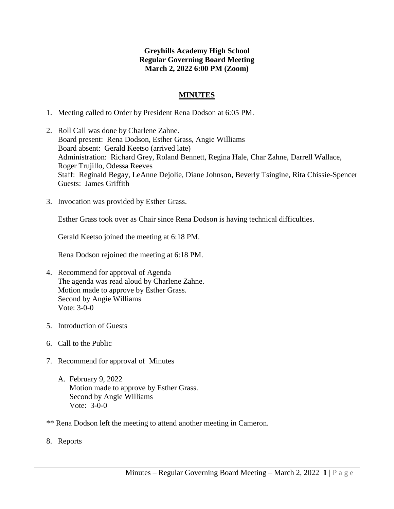# **Greyhills Academy High School Regular Governing Board Meeting March 2, 2022 6:00 PM (Zoom)**

## **MINUTES**

- 1. Meeting called to Order by President Rena Dodson at 6:05 PM.
- 2. Roll Call was done by Charlene Zahne. Board present: Rena Dodson, Esther Grass, Angie Williams Board absent: Gerald Keetso (arrived late) Administration: Richard Grey, Roland Bennett, Regina Hale, Char Zahne, Darrell Wallace, Roger Trujillo, Odessa Reeves Staff: Reginald Begay, LeAnne Dejolie, Diane Johnson, Beverly Tsingine, Rita Chissie-Spencer Guests: James Griffith
- 3. Invocation was provided by Esther Grass.

Esther Grass took over as Chair since Rena Dodson is having technical difficulties.

Gerald Keetso joined the meeting at 6:18 PM.

Rena Dodson rejoined the meeting at 6:18 PM.

- 4. Recommend for approval of Agenda The agenda was read aloud by Charlene Zahne. Motion made to approve by Esther Grass. Second by Angie Williams Vote: 3-0-0
- 5. Introduction of Guests
- 6. Call to the Public
- 7. Recommend for approval of Minutes
	- A. February 9, 2022 Motion made to approve by Esther Grass. Second by Angie Williams Vote: 3-0-0
- \*\* Rena Dodson left the meeting to attend another meeting in Cameron.
- 8. Reports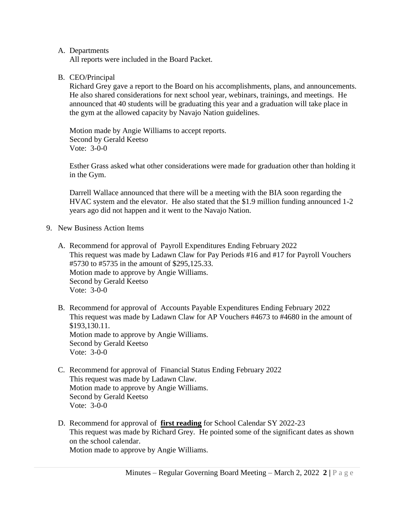### A. Departments

All reports were included in the Board Packet.

## B. CEO/Principal

Richard Grey gave a report to the Board on his accomplishments, plans, and announcements. He also shared considerations for next school year, webinars, trainings, and meetings. He announced that 40 students will be graduating this year and a graduation will take place in the gym at the allowed capacity by Navajo Nation guidelines.

Motion made by Angie Williams to accept reports. Second by Gerald Keetso Vote: 3-0-0

Esther Grass asked what other considerations were made for graduation other than holding it in the Gym.

Darrell Wallace announced that there will be a meeting with the BIA soon regarding the HVAC system and the elevator. He also stated that the \$1.9 million funding announced 1-2 years ago did not happen and it went to the Navajo Nation.

- 9. New Business Action Items
	- A. Recommend for approval of Payroll Expenditures Ending February 2022 This request was made by Ladawn Claw for Pay Periods #16 and #17 for Payroll Vouchers #5730 to #5735 in the amount of \$295,125.33. Motion made to approve by Angie Williams. Second by Gerald Keetso Vote: 3-0-0
	- B. Recommend for approval of Accounts Payable Expenditures Ending February 2022 This request was made by Ladawn Claw for AP Vouchers #4673 to #4680 in the amount of \$193,130.11. Motion made to approve by Angie Williams. Second by Gerald Keetso Vote: 3-0-0
	- C. Recommend for approval of Financial Status Ending February 2022 This request was made by Ladawn Claw. Motion made to approve by Angie Williams. Second by Gerald Keetso Vote: 3-0-0
	- D. Recommend for approval of **first reading** for School Calendar SY 2022-23 This request was made by Richard Grey. He pointed some of the significant dates as shown on the school calendar. Motion made to approve by Angie Williams.